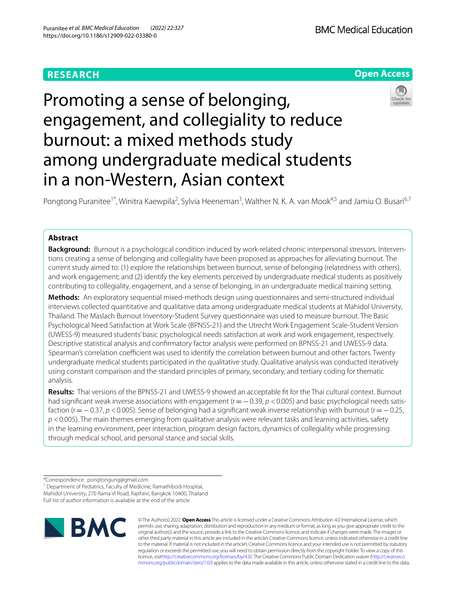## **RESEARCH**



# Promoting a sense of belonging, engagement, and collegiality to reduce burnout: a mixed methods study among undergraduate medical students in a non-Western, Asian context



Pongtong Puranitee<sup>1\*</sup>, Winitra Kaewpila<sup>2</sup>, Sylvia Heeneman<sup>3</sup>, Walther N. K. A. van Mook<sup>4,5</sup> and Jamiu O. Busari<sup>6,7</sup>

## **Abstract**

**Background:** Burnout is a psychological condition induced by work-related chronic interpersonal stressors. Interventions creating a sense of belonging and collegiality have been proposed as approaches for alleviating burnout. The current study aimed to: (1) explore the relationships between burnout, sense of belonging (relatedness with others), and work engagement; and (2) identify the key elements perceived by undergraduate medical students as positively contributing to collegiality, engagement, and a sense of belonging, in an undergraduate medical training setting.

**Methods:** An exploratory sequential mixed-methods design using questionnaires and semi-structured individual interviews collected quantitative and qualitative data among undergraduate medical students at Mahidol University, Thailand. The Maslach Burnout Inventory-Student Survey questionnaire was used to measure burnout. The Basic Psychological Need Satisfaction at Work Scale (BPNSS-21) and the Utrecht Work Engagement Scale-Student Version (UWESS-9) measured students' basic psychological needs satisfaction at work and work engagement, respectively. Descriptive statistical analysis and confrmatory factor analysis were performed on BPNSS-21 and UWESS-9 data. Spearman's correlation coefficient was used to identify the correlation between burnout and other factors. Twenty undergraduate medical students participated in the qualitative study. Qualitative analysis was conducted iteratively using constant comparison and the standard principles of primary, secondary, and tertiary coding for thematic analysis.

**Results:** Thai versions of the BPNSS-21 and UWESS-9 showed an acceptable ft for the Thai cultural context. Burnout had significant weak inverse associations with engagement (r = −0.39, *p* <0.005) and basic psychological needs satisfaction (r=−0.37, *p* <0.005). Sense of belonging had a signifcant weak inverse relationship with burnout (r=−0.25, *p* <0.005). The main themes emerging from qualitative analysis were relevant tasks and learning activities, safety in the learning environment, peer interaction, program design factors, dynamics of collegiality while progressing through medical school, and personal stance and social skills.

<sup>1</sup> Department of Pediatrics, Faculty of Medicine, Ramathibodi Hospital, Mahidol University, 270 Rama VI Road, Rajthevi, Bangkok 10400, Thailand Full list of author information is available at the end of the article



© The Author(s) 2022. **Open Access** This article is licensed under a Creative Commons Attribution 4.0 International License, which permits use, sharing, adaptation, distribution and reproduction in any medium or format, as long as you give appropriate credit to the original author(s) and the source, provide a link to the Creative Commons licence, and indicate if changes were made. The images or other third party material in this article are included in the article's Creative Commons licence, unless indicated otherwise in a credit line to the material. If material is not included in the article's Creative Commons licence and your intended use is not permitted by statutory regulation or exceeds the permitted use, you will need to obtain permission directly from the copyright holder. To view a copy of this licence, visi[thttp://creativecommons.org/licenses/by/4.0/](http://creativecommons.org/licenses/by/4.0/). The Creative Commons Public Domain Dedication waiver [\(http://creativeco](http://creativecommons.org/publicdomain/zero/1.0/) [mmons.org/publicdomain/zero/1.0/](http://creativecommons.org/publicdomain/zero/1.0/)) applies to the data made available in this article, unless otherwise stated in a credit line to the data.

<sup>\*</sup>Correspondence: pongtongung@gmail.com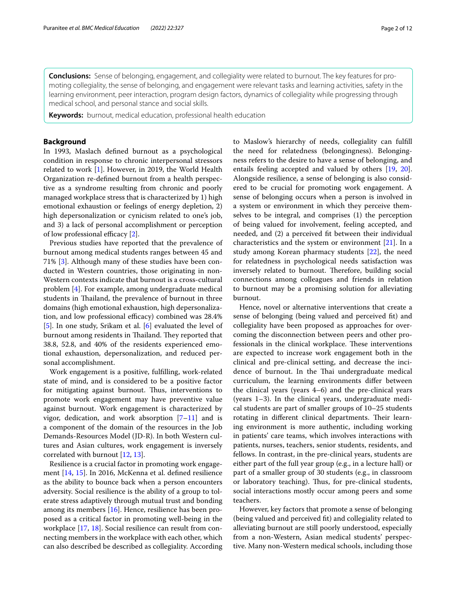**Conclusions:** Sense of belonging, engagement, and collegiality were related to burnout. The key features for promoting collegiality, the sense of belonging, and engagement were relevant tasks and learning activities, safety in the learning environment, peer interaction, program design factors, dynamics of collegiality while progressing through medical school, and personal stance and social skills.

**Keywords:** burnout, medical education, professional health education

## **Background**

In 1993, Maslach defned burnout as a psychological condition in response to chronic interpersonal stressors related to work [\[1](#page-10-0)]. However, in 2019, the World Health Organization re-defned burnout from a health perspective as a syndrome resulting from chronic and poorly managed workplace stress that is characterized by 1) high emotional exhaustion or feelings of energy depletion, 2) high depersonalization or cynicism related to one's job, and 3) a lack of personal accomplishment or perception of low professional efficacy  $[2]$  $[2]$ .

Previous studies have reported that the prevalence of burnout among medical students ranges between 45 and 71% [[3\]](#page-10-2). Although many of these studies have been conducted in Western countries, those originating in non-Western contexts indicate that burnout is a cross-cultural problem [\[4\]](#page-10-3). For example, among undergraduate medical students in Thailand, the prevalence of burnout in three domains (high emotional exhaustion, high depersonalization, and low professional efficacy) combined was 28.4% [[5\]](#page-10-4). In one study, Srikam et al. [\[6](#page-10-5)] evaluated the level of burnout among residents in Thailand. They reported that 38.8, 52.8, and 40% of the residents experienced emotional exhaustion, depersonalization, and reduced personal accomplishment.

Work engagement is a positive, fulflling, work-related state of mind, and is considered to be a positive factor for mitigating against burnout. Thus, interventions to promote work engagement may have preventive value against burnout. Work engagement is characterized by vigor, dedication, and work absorption  $[7-11]$  $[7-11]$  and is a component of the domain of the resources in the Job Demands-Resources Model (JD-R). In both Western cultures and Asian cultures, work engagement is inversely correlated with burnout [[12,](#page-10-8) [13](#page-10-9)].

Resilience is a crucial factor in promoting work engagement [\[14,](#page-10-10) [15\]](#page-10-11). In 2016, McKenna et al. defned resilience as the ability to bounce back when a person encounters adversity. Social resilience is the ability of a group to tolerate stress adaptively through mutual trust and bonding among its members [[16\]](#page-10-12). Hence, resilience has been proposed as a critical factor in promoting well-being in the workplace [\[17](#page-10-13), [18](#page-10-14)]. Social resilience can result from connecting members in the workplace with each other, which can also described be described as collegiality. According to Maslow's hierarchy of needs, collegiality can fulfll the need for relatedness (belongingness). Belongingness refers to the desire to have a sense of belonging, and entails feeling accepted and valued by others [[19,](#page-10-15) [20](#page-10-16)]. Alongside resilience, a sense of belonging is also considered to be crucial for promoting work engagement. A sense of belonging occurs when a person is involved in a system or environment in which they perceive themselves to be integral, and comprises (1) the perception of being valued for involvement, feeling accepted, and needed, and (2) a perceived ft between their individual characteristics and the system or environment [[21\]](#page-10-17). In a study among Korean pharmacy students [[22](#page-10-18)], the need for relatedness in psychological needs satisfaction was inversely related to burnout. Therefore, building social connections among colleagues and friends in relation to burnout may be a promising solution for alleviating burnout.

Hence, novel or alternative interventions that create a sense of belonging (being valued and perceived ft) and collegiality have been proposed as approaches for overcoming the disconnection between peers and other professionals in the clinical workplace. These interventions are expected to increase work engagement both in the clinical and pre-clinical setting, and decrease the incidence of burnout. In the Thai undergraduate medical curriculum, the learning environments difer between the clinical years (years 4–6) and the pre-clinical years (years 1–3). In the clinical years, undergraduate medical students are part of smaller groups of 10–25 students rotating in different clinical departments. Their learning environment is more authentic, including working in patients' care teams, which involves interactions with patients, nurses, teachers, senior students, residents, and fellows. In contrast, in the pre-clinical years, students are either part of the full year group (e.g., in a lecture hall) or part of a smaller group of 30 students (e.g., in classroom or laboratory teaching). Thus, for pre-clinical students, social interactions mostly occur among peers and some teachers.

However, key factors that promote a sense of belonging (being valued and perceived ft) and collegiality related to alleviating burnout are still poorly understood, especially from a non-Western, Asian medical students' perspective. Many non-Western medical schools, including those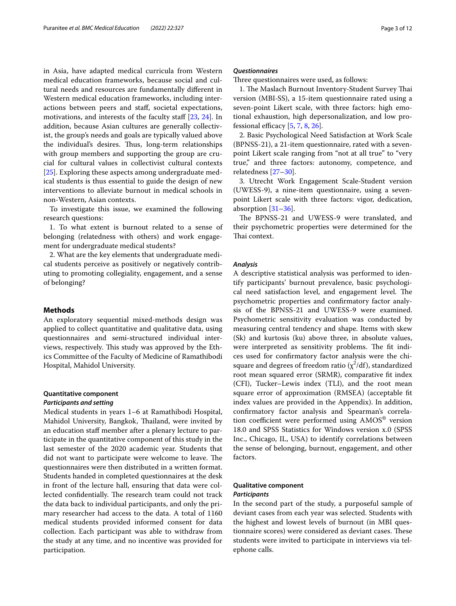in Asia, have adapted medical curricula from Western medical education frameworks, because social and cultural needs and resources are fundamentally diferent in Western medical education frameworks, including interactions between peers and staf, societal expectations, motivations, and interests of the faculty staff [\[23](#page-11-0), [24](#page-11-1)]. In addition, because Asian cultures are generally collectivist, the group's needs and goals are typically valued above the individual's desires. Thus, long-term relationships with group members and supporting the group are crucial for cultural values in collectivist cultural contexts [[25\]](#page-11-2). Exploring these aspects among undergraduate medical students is thus essential to guide the design of new interventions to alleviate burnout in medical schools in non-Western, Asian contexts.

To investigate this issue, we examined the following research questions:

1. To what extent is burnout related to a sense of belonging (relatedness with others) and work engagement for undergraduate medical students?

2. What are the key elements that undergraduate medical students perceive as positively or negatively contributing to promoting collegiality, engagement, and a sense of belonging?

#### **Methods**

An exploratory sequential mixed-methods design was applied to collect quantitative and qualitative data, using questionnaires and semi-structured individual interviews, respectively. This study was approved by the Ethics Committee of the Faculty of Medicine of Ramathibodi Hospital, Mahidol University.

## **Quantitative component**

## *Participants and setting*

Medical students in years 1–6 at Ramathibodi Hospital, Mahidol University, Bangkok, Thailand, were invited by an education staf member after a plenary lecture to participate in the quantitative component of this study in the last semester of the 2020 academic year. Students that did not want to participate were welcome to leave. The questionnaires were then distributed in a written format. Students handed in completed questionnaires at the desk in front of the lecture hall, ensuring that data were collected confidentially. The research team could not track the data back to individual participants, and only the primary researcher had access to the data. A total of 1160 medical students provided informed consent for data collection. Each participant was able to withdraw from the study at any time, and no incentive was provided for participation.

#### *Questionnaires*

Three questionnaires were used, as follows:

1. The Maslach Burnout Inventory-Student Survey Thai version (MBI-SS), a 15-item questionnaire rated using a seven-point Likert scale, with three factors: high emotional exhaustion, high depersonalization, and low professional efficacy  $[5, 7, 8, 26]$  $[5, 7, 8, 26]$  $[5, 7, 8, 26]$  $[5, 7, 8, 26]$  $[5, 7, 8, 26]$  $[5, 7, 8, 26]$  $[5, 7, 8, 26]$ .

2. Basic Psychological Need Satisfaction at Work Scale (BPNSS-21), a 21-item questionnaire, rated with a sevenpoint Likert scale ranging from "not at all true" to "very true," and three factors: autonomy, competence, and relatedness [[27–](#page-11-4)[30\]](#page-11-5).

3. Utrecht Work Engagement Scale-Student version (UWESS-9), a nine-item questionnaire, using a sevenpoint Likert scale with three factors: vigor, dedication, absorption [\[31](#page-11-6)[–36](#page-11-7)].

The BPNSS-21 and UWESS-9 were translated, and their psychometric properties were determined for the Thai context.

## *Analysis*

A descriptive statistical analysis was performed to identify participants' burnout prevalence, basic psychological need satisfaction level, and engagement level. The psychometric properties and confrmatory factor analysis of the BPNSS-21 and UWESS-9 were examined. Psychometric sensitivity evaluation was conducted by measuring central tendency and shape. Items with skew (Sk) and kurtosis (ku) above three, in absolute values, were interpreted as sensitivity problems. The fit indices used for confrmatory factor analysis were the chisquare and degrees of freedom ratio  $(\chi^2/df)$ , standardized root mean squared error (SRMR), comparative ft index (CFI), Tucker–Lewis index (TLI), and the root mean square error of approximation (RMSEA) (acceptable ft index values are provided in the Appendix). In addition, confrmatory factor analysis and Spearman's correlation coefficient were performed using  $AMOS^{\circledast}$  version 18.0 and SPSS Statistics for Windows version x.0 (SPSS Inc., Chicago, IL, USA) to identify correlations between the sense of belonging, burnout, engagement, and other factors.

## **Qualitative component** *Participants*

In the second part of the study, a purposeful sample of deviant cases from each year was selected. Students with the highest and lowest levels of burnout (in MBI questionnaire scores) were considered as deviant cases. These students were invited to participate in interviews via telephone calls.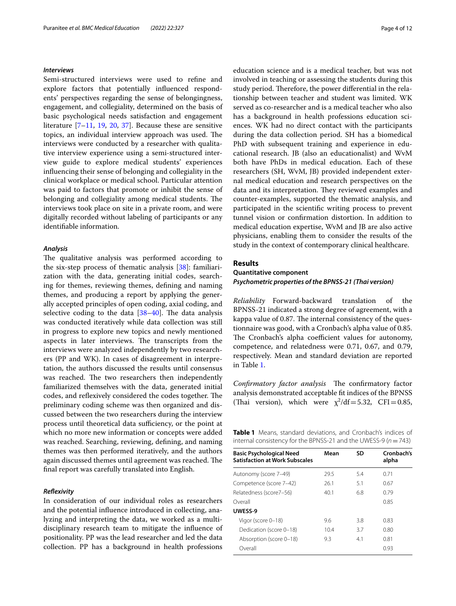#### *Interviews*

Semi-structured interviews were used to refne and explore factors that potentially infuenced respondents' perspectives regarding the sense of belongingness, engagement, and collegiality, determined on the basis of basic psychological needs satisfaction and engagement literature [\[7–](#page-10-6)[11,](#page-10-7) [19](#page-10-15), [20,](#page-10-16) [37\]](#page-11-8). Because these are sensitive topics, an individual interview approach was used. The interviews were conducted by a researcher with qualitative interview experience using a semi-structured interview guide to explore medical students' experiences infuencing their sense of belonging and collegiality in the clinical workplace or medical school. Particular attention was paid to factors that promote or inhibit the sense of belonging and collegiality among medical students. The interviews took place on site in a private room, and were digitally recorded without labeling of participants or any identifable information.

## *Analysis*

The qualitative analysis was performed according to the six-step process of thematic analysis [\[38](#page-11-9)]: familiarization with the data, generating initial codes, searching for themes, reviewing themes, defning and naming themes, and producing a report by applying the generally accepted principles of open coding, axial coding, and selective coding to the data  $[38-40]$  $[38-40]$ . The data analysis was conducted iteratively while data collection was still in progress to explore new topics and newly mentioned aspects in later interviews. The transcripts from the interviews were analyzed independently by two researchers (PP and WK). In cases of disagreement in interpretation, the authors discussed the results until consensus was reached. The two researchers then independently familiarized themselves with the data, generated initial codes, and reflexively considered the codes together. The preliminary coding scheme was then organized and discussed between the two researchers during the interview process until theoretical data sufficiency, or the point at which no more new information or concepts were added was reached. Searching, reviewing, defning, and naming themes was then performed iteratively, and the authors again discussed themes until agreement was reached. The fnal report was carefully translated into English.

## *Refexivity*

In consideration of our individual roles as researchers and the potential infuence introduced in collecting, analyzing and interpreting the data, we worked as a multidisciplinary research team to mitigate the infuence of positionality. PP was the lead researcher and led the data collection. PP has a background in health professions education science and is a medical teacher, but was not involved in teaching or assessing the students during this study period. Therefore, the power differential in the relationship between teacher and student was limited. WK served as co-researcher and is a medical teacher who also has a background in health professions education sciences. WK had no direct contact with the participants during the data collection period. SH has a biomedical PhD with subsequent training and experience in educational research. JB (also an educationalist) and WvM both have PhDs in medical education. Each of these researchers (SH, WvM, JB) provided independent external medical education and research perspectives on the data and its interpretation. They reviewed examples and counter-examples, supported the thematic analysis, and participated in the scientifc writing process to prevent tunnel vision or confrmation distortion. In addition to medical education expertise, WvM and JB are also active physicians, enabling them to consider the results of the study in the context of contemporary clinical healthcare.

## **Results**

## **Quantitative component** *Psychometric properties of the BPNSS‑21 (Thai version)*

*Reliability* Forward-backward translation of the BPNSS-21 indicated a strong degree of agreement, with a kappa value of 0.87. The internal consistency of the questionnaire was good, with a Cronbach's alpha value of 0.85. The Cronbach's alpha coefficient values for autonomy, competence, and relatedness were 0.71, 0.67, and 0.79, respectively. Mean and standard deviation are reported in Table [1.](#page-3-0)

Confirmatory factor analysis The confirmatory factor analysis demonstrated acceptable ft indices of the BPNSS (Thai version), which were  $\chi^2/df = 5.32$ , CFI = 0.85,

<span id="page-3-0"></span>**Table 1** Means, standard deviations, and Cronbach's indices of internal consistency for the BPNSS-21 and the UWESS-9 (*n*=743)

| <b>Basic Psychological Need</b><br><b>Satisfaction at Work Subscales</b> | Mean | SD  | Cronbach's<br>alpha |
|--------------------------------------------------------------------------|------|-----|---------------------|
| Autonomy (score 7-49)                                                    | 29.5 | 5.4 | 0.71                |
| Competence (score 7-42)                                                  | 261  | 5.1 | 0.67                |
| Relatedness (score7-56)                                                  | 40.1 | 68  | 0.79                |
| Overall                                                                  |      |     | 0.85                |
| UWESS-9                                                                  |      |     |                     |
| Vigor (score 0-18)                                                       | 9.6  | 38  | 0.83                |
| Dedication (score 0-18)                                                  | 10.4 | 3.7 | 0.80                |
| Absorption (score 0-18)                                                  | 9.3  | 41  | 0.81                |
| Overall                                                                  |      |     | 0.93                |
|                                                                          |      |     |                     |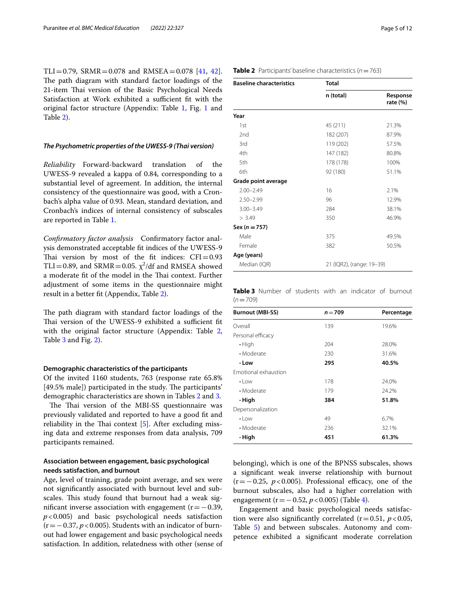TLI=0.79, SRMR=0.078 and RMSEA=0.078 [\[41](#page-11-11), [42](#page-11-12)]. The path diagram with standard factor loadings of the 21-item Thai version of the Basic Psychological Needs Satisfaction at Work exhibited a sufficient fit with the original factor structure (Appendix: Table [1,](#page-9-0) Fig. [1](#page-9-0) and Table [2](#page-9-0)).

## *The Psychometric properties of the UWESS‑9 (Thai version)*

*Reliability* Forward-backward translation of the UWESS-9 revealed a kappa of 0.84, corresponding to a substantial level of agreement. In addition, the internal consistency of the questionnaire was good, with a Cronbach's alpha value of 0.93. Mean, standard deviation, and Cronbach's indices of internal consistency of subscales are reported in Table [1](#page-3-0).

*Confrmatory factor analysis* Confrmatory factor analysis demonstrated acceptable ft indices of the UWESS-9 Thai version by most of the fit indices:  $CFI = 0.93$ TLI=0.89, and SRMR=0.05.  $\chi^2$ /df and RMSEA showed a moderate fit of the model in the Thai context. Further adjustment of some items in the questionnaire might result in a better ft (Appendix, Table [2](#page-9-0)).

The path diagram with standard factor loadings of the Thai version of the UWESS-9 exhibited a sufficient fit with the original factor structure (Appendix: Table [2](#page-9-0), Table [3](#page-9-0) and Fig. [2\)](#page-9-0).

#### **Demographic characteristics of the participants**

Of the invited 1160 students, 763 (response rate 65.8% [49.5% male]) participated in the study. The participants' demographic characteristics are shown in Tables [2](#page-4-0) and [3.](#page-4-1)

The Thai version of the MBI-SS questionnaire was previously validated and reported to have a good ft and reliability in the Thai context  $[5]$  $[5]$ . After excluding missing data and extreme responses from data analysis, 709 participants remained.

## **Association between engagement, basic psychological needs satisfaction, and burnout**

Age, level of training, grade point average, and sex were not signifcantly associated with burnout level and subscales. This study found that burnout had a weak significant inverse association with engagement  $(r=-0.39)$ , *p*<0.005) and basic psychological needs satisfaction (r=−0.37, *p*<0.005). Students with an indicator of burnout had lower engagement and basic psychological needs satisfaction. In addition, relatedness with other (sense of

<span id="page-4-0"></span>

| <b>Table 2</b> Participants' baseline characteristics ( $n = 763$ ) |  |
|---------------------------------------------------------------------|--|

| <b>Total</b> |                           |  |  |
|--------------|---------------------------|--|--|
| n (total)    | Response<br>rate $(\% )$  |  |  |
|              |                           |  |  |
| 45 (211)     | 21.3%                     |  |  |
| 182 (207)    | 87.9%                     |  |  |
| 119 (202)    | 57.5%                     |  |  |
| 147 (182)    | 80.8%                     |  |  |
| 178 (178)    | 100%                      |  |  |
| 92 (180)     | 51.1%                     |  |  |
|              |                           |  |  |
| 16           | 2.1%                      |  |  |
| 96           | 12.9%                     |  |  |
| 284          | 38.1%                     |  |  |
| 350          | 46.9%                     |  |  |
|              |                           |  |  |
| 375          | 49.5%                     |  |  |
| 382          | 50.5%                     |  |  |
|              |                           |  |  |
|              |                           |  |  |
|              | 21 (IQR2), (range: 19-39) |  |  |

<span id="page-4-1"></span>**Table 3** Number of students with an indicator of burnout  $(n=709)$ 

| <b>Burnout (MBI-SS)</b> | $n = 709$ | Percentage |
|-------------------------|-----------|------------|
| Overall                 | 139       | 19.6%      |
| Personal efficacy       |           |            |
| $\cdot$ High            | 204       | 28.0%      |
| • Moderate              | 230       | 31.6%      |
| • Low                   | 295       | 40.5%      |
| Emotional exhaustion    |           |            |
| $\cdot$ Low             | 178       | 24.0%      |
| • Moderate              | 179       | 24.2%      |
| ∙ High                  | 384       | 51.8%      |
| Depersonalization       |           |            |
| $\cdot$ Low             | 49        | 6.7%       |
| • Moderate              | 236       | 32.1%      |
| · High                  | 451       | 61.3%      |

belonging), which is one of the BPNSS subscales, shows a signifcant weak inverse relationship with burnout  $(r=-0.25, p<0.005)$ . Professional efficacy, one of the burnout subscales, also had a higher correlation with engagement (r=−0.52, *p*<0.005) (Table [4](#page-5-0)).

Engagement and basic psychological needs satisfaction were also significantly correlated  $(r=0.51, p<0.05,$ Table [5\)](#page-5-1) and between subscales. Autonomy and competence exhibited a signifcant moderate correlation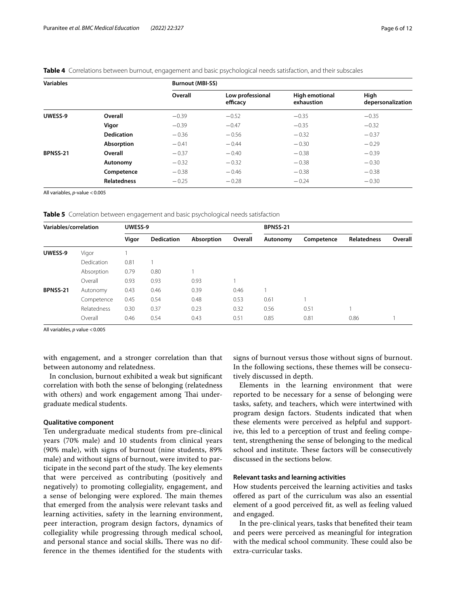| <b>Variables</b>    |                    |         | <b>Burnout (MBI-SS)</b>      |                                     |                           |  |  |  |
|---------------------|--------------------|---------|------------------------------|-------------------------------------|---------------------------|--|--|--|
|                     |                    | Overall | Low professional<br>efficacy | <b>High emotional</b><br>exhaustion | High<br>depersonalization |  |  |  |
| UWESS-9<br>BPNSS-21 | Overall            | $-0.39$ | $-0.52$                      | $-0.35$                             | $-0.35$                   |  |  |  |
|                     | Vigor              | $-0.39$ | $-0.47$                      | $-0.35$                             | $-0.32$                   |  |  |  |
|                     | <b>Dedication</b>  | $-0.36$ | $-0.56$                      | $-0.32$                             | $-0.37$                   |  |  |  |
|                     | Absorption         | $-0.41$ | $-0.44$                      | $-0.30$                             | $-0.29$                   |  |  |  |
|                     | Overall            | $-0.37$ | $-0.40$                      | $-0.38$                             | $-0.39$                   |  |  |  |
|                     | Autonomy           | $-0.32$ | $-0.32$                      | $-0.38$                             | $-0.30$                   |  |  |  |
|                     | Competence         | $-0.38$ | $-0.46$                      | $-0.38$                             | $-0.38$                   |  |  |  |
|                     | <b>Relatedness</b> | $-0.25$ | $-0.28$                      | $-0.24$                             | $-0.30$                   |  |  |  |

<span id="page-5-0"></span>**Table 4** Correlations between burnout, engagement and basic psychological needs satisfaction, and their subscales

All variables, *p*-value <0.005

<span id="page-5-1"></span>**Table 5** Correlation between engagement and basic psychological needs satisfaction

| Variables/correlation |             | UWESS-9 |                   |            | BPNSS-21 |          |            |                    |         |
|-----------------------|-------------|---------|-------------------|------------|----------|----------|------------|--------------------|---------|
|                       |             | Vigor   | <b>Dedication</b> | Absorption | Overall  | Autonomy | Competence | <b>Relatedness</b> | Overall |
| UWESS-9               | Vigor       |         |                   |            |          |          |            |                    |         |
|                       | Dedication  | 0.81    |                   |            |          |          |            |                    |         |
|                       | Absorption  | 0.79    | 0.80              |            |          |          |            |                    |         |
|                       | Overall     | 0.93    | 0.93              | 0.93       |          |          |            |                    |         |
| BPNSS-21              | Autonomy    | 0.43    | 0.46              | 0.39       | 0.46     |          |            |                    |         |
|                       | Competence  | 0.45    | 0.54              | 0.48       | 0.53     | 0.61     |            |                    |         |
|                       | Relatedness | 0.30    | 0.37              | 0.23       | 0.32     | 0.56     | 0.51       |                    |         |
|                       | Overall     | 0.46    | 0.54              | 0.43       | 0.51     | 0.85     | 0.81       | 0.86               |         |

All variables, *p* value <0.005

with engagement, and a stronger correlation than that between autonomy and relatedness.

In conclusion, burnout exhibited a weak but signifcant correlation with both the sense of belonging (relatedness with others) and work engagement among Thai undergraduate medical students.

## **Qualitative component**

Ten undergraduate medical students from pre-clinical years (70% male) and 10 students from clinical years (90% male), with signs of burnout (nine students, 89% male) and without signs of burnout, were invited to participate in the second part of the study. The key elements that were perceived as contributing (positively and negatively) to promoting collegiality, engagement, and a sense of belonging were explored. The main themes that emerged from the analysis were relevant tasks and learning activities, safety in the learning environment, peer interaction, program design factors, dynamics of collegiality while progressing through medical school, and personal stance and social skills. There was no difference in the themes identifed for the students with

signs of burnout versus those without signs of burnout. In the following sections, these themes will be consecutively discussed in depth.

Elements in the learning environment that were reported to be necessary for a sense of belonging were tasks, safety, and teachers, which were intertwined with program design factors. Students indicated that when these elements were perceived as helpful and supportive, this led to a perception of trust and feeling competent, strengthening the sense of belonging to the medical school and institute. These factors will be consecutively discussed in the sections below.

## **Relevant tasks and learning activities**

How students perceived the learning activities and tasks ofered as part of the curriculum was also an essential element of a good perceived ft, as well as feeling valued and engaged.

In the pre-clinical years, tasks that benefted their team and peers were perceived as meaningful for integration with the medical school community. These could also be extra-curricular tasks.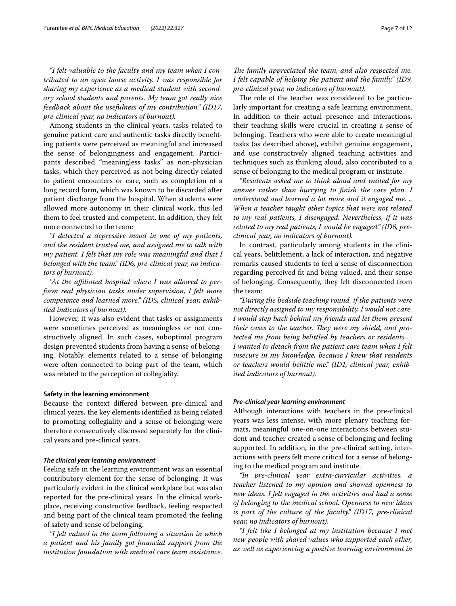*"I felt valuable to the faculty and my team when I contributed to an open house activity. I was responsible for sharing my experience as a medical student with secondary school students and parents. My team got really nice feedback about the usefulness of my contribution." (ID17, pre-clinical year, no indicators of burnout).*

Among students in the clinical years, tasks related to genuine patient care and authentic tasks directly benefting patients were perceived as meaningful and increased the sense of belongingness and engagement. Participants described "meaningless tasks" as non-physician tasks, which they perceived as not being directly related to patient encounters or care, such as completion of a long record form, which was known to be discarded after patient discharge from the hospital. When students were allowed more autonomy in their clinical work, this led them to feel trusted and competent. In addition, they felt more connected to the team:

*"I detected a depressive mood in one of my patients, and the resident trusted me, and assigned me to talk with my patient. I felt that my role was meaningful and that I belonged with the team." (ID6, pre-clinical year, no indicators of burnout).*

*"At the afliated hospital where I was allowed to perform real physician tasks under supervision, I felt more competence and learned more." (ID5, clinical year, exhibited indicators of burnout).*

However, it was also evident that tasks or assignments were sometimes perceived as meaningless or not constructively aligned. In such cases, suboptimal program design prevented students from having a sense of belonging. Notably, elements related to a sense of belonging were often connected to being part of the team, which was related to the perception of collegiality.

#### **Safety in the learning environment**

Because the context difered between pre-clinical and clinical years, the key elements identifed as being related to promoting collegiality and a sense of belonging were therefore consecutively discussed separately for the clinical years and pre-clinical years.

#### *The clinical year learning environment*

Feeling safe in the learning environment was an essential contributory element for the sense of belonging. It was particularly evident in the clinical workplace but was also reported for the pre-clinical years. In the clinical workplace, receiving constructive feedback, feeling respected and being part of the clinical team promoted the feeling of safety and sense of belonging.

*"I felt valued in the team following a situation in which a patient and his family got fnancial support from the institution foundation with medical care team assistance.* 

The role of the teacher was considered to be particularly important for creating a safe learning environment. In addition to their actual presence and interactions, their teaching skills were crucial in creating a sense of belonging. Teachers who were able to create meaningful tasks (as described above), exhibit genuine engagement, and use constructively aligned teaching activities and techniques such as thinking aloud, also contributed to a sense of belonging to the medical program or institute.

*"Residents asked me to think aloud and waited for my answer rather than hurrying to fnish the care plan. I understood and learned a lot more and it engaged me*. *.. When a teacher taught other topics that were not related to my real patients, I disengaged. Nevertheless, if it was related to my real patients, I would be engaged." (ID6, preclinical year, no indicators of burnout).*

In contrast, particularly among students in the clinical years, belittlement, a lack of interaction, and negative remarks caused students to feel a sense of disconnection regarding perceived ft and being valued, and their sense of belonging. Consequently, they felt disconnected from the team:

*"During the bedside teaching round, if the patients were not directly assigned to my responsibility, I would not care. I would step back behind my friends and let them present their cases to the teacher. They were my shield, and protected me from being belittled by teachers or residents.*. *. I wanted to detach from the patient care team when I felt insecure in my knowledge, because I knew that residents or teachers would belittle me." (ID1, clinical year, exhibited indicators of burnout).*

#### *Pre‑clinical year learning environment*

Although interactions with teachers in the pre-clinical years was less intense, with more plenary teaching formats, meaningful one-on-one interactions between student and teacher created a sense of belonging and feeling supported. In addition, in the pre-clinical setting, interactions with peers felt more critical for a sense of belonging to the medical program and institute.

*"In pre-clinical year extra-curricular activities, a teacher listened to my opinion and showed openness to new ideas. I felt engaged in the activities and had a sense of belonging to the medical school. Openness to new ideas is part of the culture of the faculty." (ID17, pre-clinical year, no indicators of burnout).*

*"I felt like I belonged at my institution because I met new people with shared values who supported each other, as well as experiencing a positive learning environment in*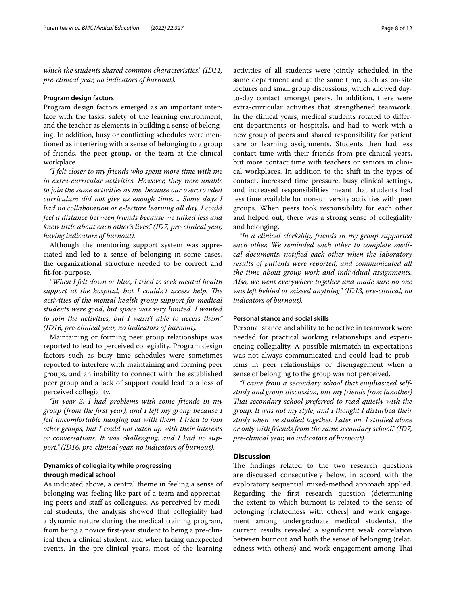*which the students shared common characteristics." (ID11, pre-clinical year, no indicators of burnout).*

#### **Program design factors**

Program design factors emerged as an important interface with the tasks, safety of the learning environment, and the teacher as elements in building a sense of belonging. In addition, busy or conficting schedules were mentioned as interfering with a sense of belonging to a group of friends, the peer group, or the team at the clinical workplace.

*"I felt closer to my friends who spent more time with me in extra-curricular activities. However, they were unable to join the same activities as me, because our overcrowded curriculum did not give us enough time. .. Some days I had no collaboration or e-lecture learning all day. I could feel a distance between friends because we talked less and knew little about each other's lives." (ID7, pre-clinical year, having indicators of burnout).*

Although the mentoring support system was appreciated and led to a sense of belonging in some cases, the organizational structure needed to be correct and ft-for-purpose.

*"When I felt down or blue, I tried to seek mental health*  support at the hospital, but I couldn't access help. The *activities of the mental health group support for medical students were good, but space was very limited. I wanted to join the activities, but I wasn't able to access them." (ID16, pre-clinical year, no indicators of burnout).*

Maintaining or forming peer group relationships was reported to lead to perceived collegiality. Program design factors such as busy time schedules were sometimes reported to interfere with maintaining and forming peer groups, and an inability to connect with the established peer group and a lack of support could lead to a loss of perceived collegiality.

*"In year 3, I had problems with some friends in my group (from the frst year), and I left my group because I felt uncomfortable hanging out with them. I tried to join other groups, but I could not catch up with their interests or conversations. It was challenging, and I had no support." (ID16, pre-clinical year, no indicators of burnout).*

## **Dynamics of collegiality while progressing through medical school**

As indicated above, a central theme in feeling a sense of belonging was feeling like part of a team and appreciating peers and staff as colleagues. As perceived by medical students, the analysis showed that collegiality had a dynamic nature during the medical training program, from being a novice frst-year student to being a pre-clinical then a clinical student, and when facing unexpected events. In the pre-clinical years, most of the learning activities of all students were jointly scheduled in the same department and at the same time, such as on-site lectures and small group discussions, which allowed dayto-day contact amongst peers. In addition, there were extra-curricular activities that strengthened teamwork. In the clinical years, medical students rotated to diferent departments or hospitals, and had to work with a new group of peers and shared responsibility for patient care or learning assignments. Students then had less contact time with their friends from pre-clinical years, but more contact time with teachers or seniors in clinical workplaces. In addition to the shift in the types of contact, increased time pressure, busy clinical settings, and increased responsibilities meant that students had less time available for non-university activities with peer groups. When peers took responsibility for each other and helped out, there was a strong sense of collegiality and belonging.

*"In a clinical clerkship, friends in my group supported each other. We reminded each other to complete medical documents, notifed each other when the laboratory results of patients were reported, and communicated all the time about group work and individual assignments. Also, we went everywhere together and made sure no one was left behind or missed anything" (ID13, pre-clinical, no indicators of burnout).*

#### **Personal stance and social skills**

Personal stance and ability to be active in teamwork were needed for practical working relationships and experiencing collegiality. A possible mismatch in expectations was not always communicated and could lead to problems in peer relationships or disengagement when a sense of belonging to the group was not perceived.

*"I came from a secondary school that emphasized selfstudy and group discussion, but my friends from (another) Tai secondary school preferred to read quietly with the group. It was not my style, and I thought I disturbed their study when we studied together. Later on, I studied alone or only with friends from the same secondary school." (ID7, pre-clinical year, no indicators of burnout).*

## **Discussion**

The findings related to the two research questions are discussed consecutively below, in accord with the exploratory sequential mixed-method approach applied. Regarding the frst research question (determining the extent to which burnout is related to the sense of belonging [relatedness with others] and work engagement among undergraduate medical students), the current results revealed a signifcant weak correlation between burnout and both the sense of belonging (relatedness with others) and work engagement among Thai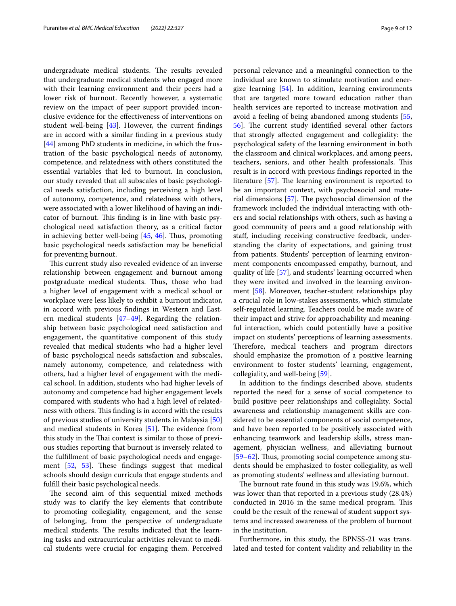undergraduate medical students. The results revealed that undergraduate medical students who engaged more with their learning environment and their peers had a lower risk of burnout. Recently however, a systematic review on the impact of peer support provided inconclusive evidence for the efectiveness of interventions on student well-being [\[43](#page-11-13)]. However, the current fndings are in accord with a similar fnding in a previous study [[44\]](#page-11-14) among PhD students in medicine, in which the frustration of the basic psychological needs of autonomy, competence, and relatedness with others constituted the essential variables that led to burnout. In conclusion, our study revealed that all subscales of basic psychological needs satisfaction, including perceiving a high level of autonomy, competence, and relatedness with others, were associated with a lower likelihood of having an indicator of burnout. This finding is in line with basic psychological need satisfaction theory, as a critical factor in achieving better well-being  $[45, 46]$  $[45, 46]$  $[45, 46]$  $[45, 46]$ . Thus, promoting basic psychological needs satisfaction may be benefcial for preventing burnout.

This current study also revealed evidence of an inverse relationship between engagement and burnout among postgraduate medical students. Thus, those who had a higher level of engagement with a medical school or workplace were less likely to exhibit a burnout indicator, in accord with previous fndings in Western and Eastern medical students [\[47–](#page-11-17)[49\]](#page-11-18). Regarding the relationship between basic psychological need satisfaction and engagement, the quantitative component of this study revealed that medical students who had a higher level of basic psychological needs satisfaction and subscales, namely autonomy, competence, and relatedness with others, had a higher level of engagement with the medical school. In addition, students who had higher levels of autonomy and competence had higher engagement levels compared with students who had a high level of relatedness with others. This finding is in accord with the results of previous studies of university students in Malaysia [[50](#page-11-19)] and medical students in Korea  $[51]$  $[51]$ . The evidence from this study in the Thai context is similar to those of previous studies reporting that burnout is inversely related to the fulfllment of basic psychological needs and engagement  $[52, 53]$  $[52, 53]$  $[52, 53]$  $[52, 53]$  $[52, 53]$ . These findings suggest that medical schools should design curricula that engage students and fulfll their basic psychological needs.

The second aim of this sequential mixed methods study was to clarify the key elements that contribute to promoting collegiality, engagement, and the sense of belonging, from the perspective of undergraduate medical students. The results indicated that the learning tasks and extracurricular activities relevant to medical students were crucial for engaging them. Perceived personal relevance and a meaningful connection to the individual are known to stimulate motivation and energize learning [[54\]](#page-11-23). In addition, learning environments that are targeted more toward education rather than health services are reported to increase motivation and avoid a feeling of being abandoned among students [[55](#page-11-24), [56\]](#page-11-25). The current study identified several other factors that strongly afected engagement and collegiality: the psychological safety of the learning environment in both the classroom and clinical workplaces, and among peers, teachers, seniors, and other health professionals. This result is in accord with previous fndings reported in the literature  $[57]$  $[57]$ . The learning environment is reported to be an important context, with psychosocial and material dimensions  $[57]$ . The psychosocial dimension of the framework included the individual interacting with others and social relationships with others, such as having a good community of peers and a good relationship with staf, including receiving constructive feedback, understanding the clarity of expectations, and gaining trust from patients. Students' perception of learning environment components encompassed empathy, burnout, and quality of life [[57\]](#page-11-26), and students' learning occurred when they were invited and involved in the learning environment [[58\]](#page-11-27). Moreover, teacher-student relationships play a crucial role in low-stakes assessments, which stimulate self-regulated learning. Teachers could be made aware of their impact and strive for approachability and meaningful interaction, which could potentially have a positive impact on students' perceptions of learning assessments. Therefore, medical teachers and program directors should emphasize the promotion of a positive learning environment to foster students' learning, engagement, collegiality, and well-being [\[59](#page-11-28)].

In addition to the fndings described above, students reported the need for a sense of social competence to build positive peer relationships and collegiality. Social awareness and relationship management skills are considered to be essential components of social competence, and have been reported to be positively associated with enhancing teamwork and leadership skills, stress management, physician wellness, and alleviating burnout [[59–](#page-11-28)[62\]](#page-11-29). Thus, promoting social competence among students should be emphasized to foster collegiality, as well as promoting students' wellness and alleviating burnout.

The burnout rate found in this study was 19.6%, which was lower than that reported in a previous study (28.4%) conducted in 2016 in the same medical program. This could be the result of the renewal of student support systems and increased awareness of the problem of burnout in the institution.

Furthermore, in this study, the BPNSS-21 was translated and tested for content validity and reliability in the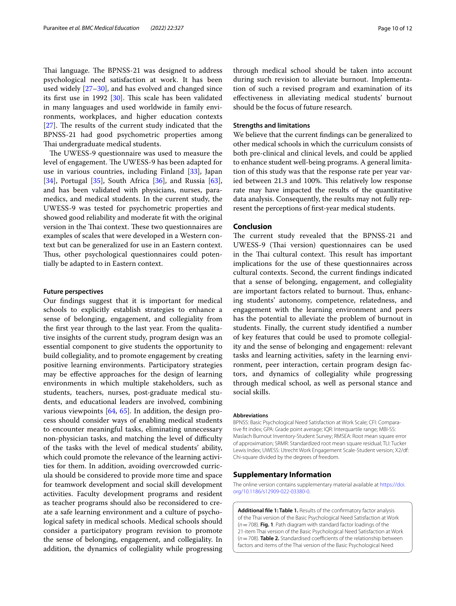Thai language. The BPNSS-21 was designed to address psychological need satisfaction at work. It has been used widely [\[27](#page-11-4)[–30\]](#page-11-5), and has evolved and changed since its first use in 1992  $[30]$  $[30]$ . This scale has been validated in many languages and used worldwide in family environments, workplaces, and higher education contexts  $[27]$  $[27]$ . The results of the current study indicated that the BPNSS-21 had good psychometric properties among Thai undergraduate medical students.

The UWESS-9 questionnaire was used to measure the level of engagement. The UWESS-9 has been adapted for use in various countries, including Finland [\[33](#page-11-30)], Japan [[34\]](#page-11-31), Portugal [[35](#page-11-32)], South Africa  $[36]$  $[36]$  $[36]$ , and Russia  $[63]$  $[63]$ , and has been validated with physicians, nurses, paramedics, and medical students. In the current study, the UWESS-9 was tested for psychometric properties and showed good reliability and moderate ft with the original version in the Thai context. These two questionnaires are examples of scales that were developed in a Western context but can be generalized for use in an Eastern context. Thus, other psychological questionnaires could potentially be adapted to in Eastern context.

#### **Future perspectives**

Our fndings suggest that it is important for medical schools to explicitly establish strategies to enhance a sense of belonging, engagement, and collegiality from the frst year through to the last year. From the qualitative insights of the current study, program design was an essential component to give students the opportunity to build collegiality, and to promote engagement by creating positive learning environments. Participatory strategies may be efective approaches for the design of learning environments in which multiple stakeholders, such as students, teachers, nurses, post-graduate medical students, and educational leaders are involved, combining various viewpoints [\[64,](#page-11-34) [65](#page-11-35)]. In addition, the design process should consider ways of enabling medical students to encounter meaningful tasks, eliminating unnecessary non-physician tasks, and matching the level of difficulty of the tasks with the level of medical students' ability, which could promote the relevance of the learning activities for them. In addition, avoiding overcrowded curricula should be considered to provide more time and space for teamwork development and social skill development activities. Faculty development programs and resident as teacher programs should also be reconsidered to create a safe learning environment and a culture of psychological safety in medical schools. Medical schools should consider a participatory program revision to promote the sense of belonging, engagement, and collegiality. In addition, the dynamics of collegiality while progressing through medical school should be taken into account during such revision to alleviate burnout. Implementation of such a revised program and examination of its efectiveness in alleviating medical students' burnout should be the focus of future research.

## **Strengths and limitations**

We believe that the current fndings can be generalized to other medical schools in which the curriculum consists of both pre-clinical and clinical levels, and could be applied to enhance student well-being programs. A general limitation of this study was that the response rate per year varied between 21.3 and 100%. This relatively low response rate may have impacted the results of the quantitative data analysis. Consequently, the results may not fully represent the perceptions of frst-year medical students.

## **Conclusion**

The current study revealed that the BPNSS-21 and UWESS-9 (Thai version) questionnaires can be used in the Thai cultural context. This result has important implications for the use of these questionnaires across cultural contexts. Second, the current fndings indicated that a sense of belonging, engagement, and collegiality are important factors related to burnout. Thus, enhancing students' autonomy, competence, relatedness, and engagement with the learning environment and peers has the potential to alleviate the problem of burnout in students. Finally, the current study identifed a number of key features that could be used to promote collegiality and the sense of belonging and engagement: relevant tasks and learning activities, safety in the learning environment, peer interaction, certain program design factors, and dynamics of collegiality while progressing through medical school, as well as personal stance and social skills.

#### **Abbreviations**

BPNSS: Basic Psychological Need Satisfaction at Work Scale; CFI: Comparative ft index; GPA: Grade point average; IQR: Interquartile range; MBI-SS: Maslach Burnout Inventory-Student Survey; RMSEA: Root mean square error of approximation; SRMR: Standardized root mean square residual; TLI: Tucker Lewis Index; UWESS: Utrecht Work Engagement Scale-Student version; X2/df: Chi*-*square divided by the degrees of freedom.

## **Supplementary Information**

The online version contains supplementary material available at [https://doi.](https://doi.org/10.1186/s12909-022-03380-0) [org/10.1186/s12909-022-03380-0](https://doi.org/10.1186/s12909-022-03380-0).

<span id="page-9-0"></span>**Additional fle 1: Table 1.** Results of the confrmatory factor analysis of the Thai version of the Basic Psychological Need Satisfaction at Work (*n*=708). **Fig. 1**. Path diagram with standard factor loadings of the 21-item Thai version of the Basic Psychological Need Satisfaction at Work  $(n=708)$ . **Table 2.** Standardised coefficients of the relationship between factors and items of the Thai version of the Basic Psychological Need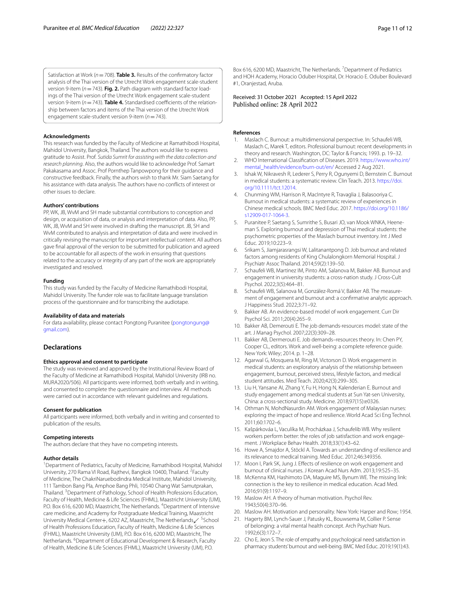Satisfaction at Work (*n*=708). **Table 3.** Results of the confrmatory factor analysis of the Thai version of the Utrecht Work engagement scale-student version 9-item (*n*=743). **Fig. 2.** Path diagram with standard factor loadings of the Thai version of the Utrecht Work engagement scale-student version 9-item ( $n = 743$ ). **Table 4.** Standardised coefficients of the relationship between factors and items of the Thai version of the Utrecht Work engagement scale-student version 9-item (*n*=743).

#### **Acknowledgments**

This research was funded by the Faculty of Medicine at Ramathibodi Hospital, Mahidol University, Bangkok, Thailand. The authors would like to express gratitude to Assist. Prof. *Sutida Sumrit for assisting with the data collection and research planning*. Also, the authors would like to acknowledge Prof. Samart Pakakasama and Assoc. Prof Pornthep Tanpowpong for their guidance and constructive feedback. Finally, the authors wish to thank Mr. Siam Saetang for his assistance with data analysis. The authors have no conficts of interest or other issues to declare.

#### **Authors' contributions**

PP, WK, JB, WvM and SH made substantial contributions to conception and design, or acquisition of data, or analysis and interpretation of data. Also, PP, WK, JB, WvM and SH were involved in drafting the manuscript. JB, SH and WvM contributed to analysis and interpretation of data and were involved in critically revising the manuscript for important intellectual content. All authors gave fnal approval of the version to be submitted for publication and agreed to be accountable for all aspects of the work in ensuring that questions related to the accuracy or integrity of any part of the work are appropriately investigated and resolved.

#### **Funding**

This study was funded by the Faculty of Medicine Ramathibodi Hospital, Mahidol University. The funder role was to facilitate language translation process of the questionnaire and for transcribing the audiotape.

#### **Availability of data and materials**

For data availability, please contact Pongtong Puranitee ([pongtongung@](pongtongung@gmail.com) [gmail.com](pongtongung@gmail.com)).

## **Declarations**

#### **Ethics approval and consent to participate**

The study was reviewed and approved by the Institutional Review Board of the Faculty of Medicine at Ramathibodi Hospital, Mahidol University (IRB no. MURA2020/506). All participants were informed, both verbally and in writing, and consented to complete the questionnaire and interview. All methods were carried out in accordance with relevant guidelines and regulations.

#### **Consent for publication**

All participants were informed, both verbally and in writing and consented to publication of the results.

#### **Competing interests**

The authors declare that they have no competing interests.

#### **Author details**

<sup>1</sup> Department of Pediatrics, Faculty of Medicine, Ramathibodi Hospital, Mahidol University, 270 Rama VI Road, Rajthevi, Bangkok 10400, Thailand. <sup>2</sup> Faculty of Medicine, The ChakriNaruebodindra Medical Institute, Mahidol University, 111 Tambon Bang Pla, Amphoe Bang Phli, 10540 Chang Wat Samutprakan, Thailand.<sup>3</sup> Department of Pathology, School of Health Professions Education, Faculty of Health, Medicine & Life Sciences (FHML), Maastricht University (UM), P.O. Box 616, 6200 MD, Maastricht, The Netherlands. <sup>4</sup>Department of Intensive care medicine, and Academy for Postgraduate Medical Training, Maastricht University Medical Center+, 6202 AZ, Maastricht, The Netherlands <sup>5</sup>School of Health Professions Education, Faculty of Health, Medicine & Life Sciences (FHML), Maastricht University (UM), P.O. Box 616, 6200 MD, Maastricht, The Netherlands. <sup>6</sup>Department of Educational Development & Research, Faculty of Health, Medicine & Life Sciences (FHML), Maastricht University (UM), P.O.

Box 616, 6200 MD, Maastricht, The Netherlands. <sup>7</sup> Department of Pediatrics and HOH Academy, Horacio Oduber Hospital, Dr. Horacio E. Oduber Boulevard #1, Oranjestad, Aruba.

Received: 31 October 2021 Accepted: 15 April 2022 Published online: 28 April 2022

#### **References**

- <span id="page-10-0"></span>1. Maslach C. Burnout: a multidimensional perspective. In: Schaufeli WB, Maslach C, Marek T, editors. Professional burnout: recent developments in theory and research. Washington, DC: Taylor & Francis; 1993. p. 19–32.
- <span id="page-10-1"></span>2. WHO International Classifcation of Diseases. 2019. [https://www.who.int/](https://www.who.int/mental_health/evidence/burn-out/en/) [mental\\_health/evidence/burn-out/en/](https://www.who.int/mental_health/evidence/burn-out/en/) Accessed 2 Aug 2021.
- <span id="page-10-2"></span>3. Ishak W, Nikravesh R, Lederer S, Perry R, Ogunyemi D, Bernstein C. Burnout in medical students: a systematic review. Clin Teach. 2013. [https://doi.](https://doi.org/10.1111/tct.12014) [org/10.1111/tct.12014](https://doi.org/10.1111/tct.12014).
- <span id="page-10-3"></span>4. Chunming WM, Harrison R, MacIntyre R, Travaglia J, Balasooriya C. Burnout in medical students: a systematic review of experiences in Chinese medical schools. BMC Med Educ. 2017. [https://doi.org/10.1186/](https://doi.org/10.1186/s12909-017-1064-3) [s12909-017-1064-3.](https://doi.org/10.1186/s12909-017-1064-3)
- <span id="page-10-4"></span>Puranitee P, Saetang S, Sumrithe S, Busari JO, van Mook WNKA, Heeneman S. Exploring burnout and depression of Thai medical students: the psychometric properties of the Maslach burnout inventory. Int J Med Educ. 2019;10:223–9.
- <span id="page-10-5"></span>6. Srikam S, Jiamjarasrangsi W, Lalitanantpong D. Job burnout and related factors among residents of King Chulalongkorn Memorial Hospital. J Psychiatr Assoc Thailand. 2014;59(2):139–50.
- <span id="page-10-6"></span>7. Schaufeli WB, Martinez IM, Pinto AM, Salanova M, Bakker AB. Burnout and engagement in university students: a cross-nation study. J Cross-Cult Psychol. 2022;3(5):464–81.
- <span id="page-10-19"></span>8. Schaufeli WB, Salanova M, González-Romá V, Bakker AB. The measurement of engagement and burnout and: a confrmative analytic approach. J Happiness Stud. 2022;3:71–92.
- 9. Bakker AB. An evidence-based model of work engagement. Curr Dir Psychol Sci. 2011;20(4):265–9.
- 10. Bakker AB, Demerouti E. The job demands-resources model: state of the art. J Manag Psychol. 2007;22(3):309–28.
- <span id="page-10-7"></span>11. Bakker AB, Dermerouti E. Job demands–resources theory. In: Chen PY, Cooper CL, editors. Work and well-being: a complete reference guide. New York: Wiley; 2014. p. 1–28.
- <span id="page-10-8"></span>12. Agarwal G, Mosquera M, Ring M, Victorson D. Work engagement in medical students: an exploratory analysis of the relationship between engagement, burnout, perceived stress, lifestyle factors, and medical student attitudes. Med Teach. 2020;42(3):299–305.
- <span id="page-10-9"></span>13. Liu H, Yansane AI, Zhang Y, Fu H, Hong N, Kalenderian E. Burnout and study engagement among medical students at Sun Yat-sen University, China: a cross-sectional study. Medicine. 2018;97(15):e0326.
- <span id="page-10-10"></span>14. Othman N, MohdNasurdin AM. Work engagement of Malaysian nurses: exploring the impact of hope and resilience. World Acad Sci Eng Technol. 2011;60:1702–6.
- <span id="page-10-11"></span>15. Kašpárkováa L, Vaculíka M, Procházkaa J, Schaufelib WB. Why resilient workers perform better: the roles of job satisfaction and work engagement. J Workplace Behav Health. 2018;33(1):43–62.
- <span id="page-10-12"></span>16. Howe A, Smajdor A, Stöckl A. Towards an understanding of resilience and its relevance to medical training. Med Educ. 2012;46:349356.
- <span id="page-10-13"></span>17. Moon I, Park SK, Jung J. Efects of resilience on work engagement and burnout of clinical nurses. J Korean Acad Nurs Adm. 2013;19:525–35.
- <span id="page-10-14"></span>18. McKenna KM, Hashimoto DA, Maguire MS, Bynum WE. The missing link: connection is the key to resilience in medical education. Acad Med. 2016;91(9):1197–9.
- <span id="page-10-15"></span>19. Maslow AH. A theory of human motivation. Psychol Rev. 1943;50(4):370–96.
- <span id="page-10-16"></span>20. Maslow AH. Motivation and personality. New York: Harper and Row; 1954.
- <span id="page-10-17"></span>21. Hagerty BM, Lynch-Sauer J, Patusky KL, Bouwsema M, Collier P. Sense of belonging: a vital mental health concept. Arch Psychiatr Nurs. 1992;6(3):172–7.
- <span id="page-10-18"></span>22. Cho E, Jeon S. The role of empathy and psychological need satisfaction in pharmacy students' burnout and well-being. BMC Med Educ. 2019;19(1):43.